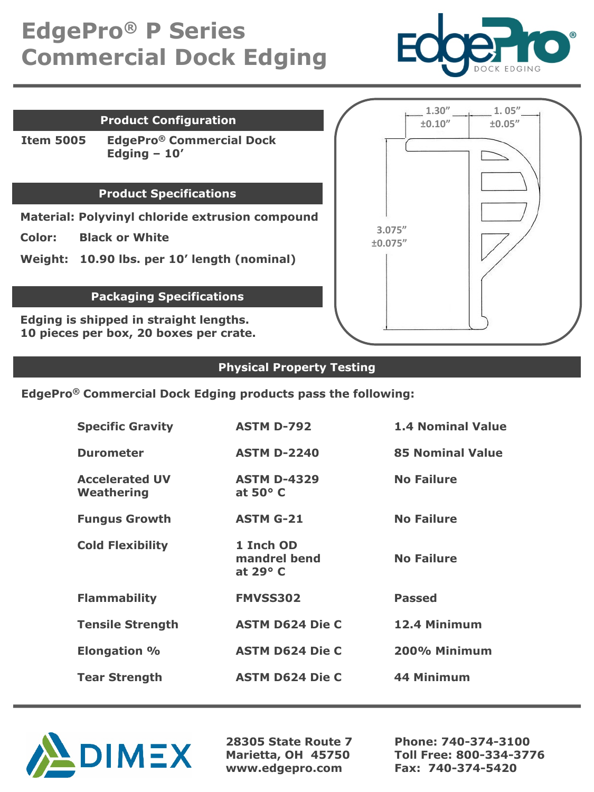# **EdgePro® P Series Commercial Dock Edging**



### **Product Configuration**

**Item 5005 EdgePro® Commercial Dock Edging – 10'**

#### **Product Specifications**

**Material: Polyvinyl chloride extrusion compound**

**Color: Black or White**

**Weight: 10.90 lbs. per 10' length (nominal)**

## **Packaging Specifications**

**Edging is shipped in straight lengths. 10 pieces per box, 20 boxes per crate.**

|          | $\pm 0.10^{\prime\prime}$ | $\pm 0.05^{\prime\prime}$ |
|----------|---------------------------|---------------------------|
|          |                           |                           |
| 3.075''  |                           |                           |
| ±0.075'' |                           |                           |
|          |                           |                           |
|          |                           |                           |

### **Physical Property Testing**

**EdgePro® Commercial Dock Edging products pass the following:**

| <b>Specific Gravity</b>             | <b>ASTM D-792</b>                            | <b>1.4 Nominal Value</b> |
|-------------------------------------|----------------------------------------------|--------------------------|
| <b>Durometer</b>                    | <b>ASTM D-2240</b>                           | <b>85 Nominal Value</b>  |
| <b>Accelerated UV</b><br>Weathering | <b>ASTM D-4329</b><br>at $50^{\circ}$ C      | <b>No Failure</b>        |
| <b>Fungus Growth</b>                | <b>ASTM G-21</b>                             | <b>No Failure</b>        |
| <b>Cold Flexibility</b>             | 1 Inch OD<br>mandrel bend<br>at $29^\circ$ C | <b>No Failure</b>        |
| <b>Flammability</b>                 | <b>FMVSS302</b>                              | <b>Passed</b>            |
| <b>Tensile Strength</b>             | <b>ASTM D624 Die C</b>                       | 12.4 Minimum             |
| <b>Elongation %</b>                 | <b>ASTM D624 Die C</b>                       | 200% Minimum             |
| <b>Tear Strength</b>                | <b>ASTM D624 Die C</b>                       | 44 Minimum               |



**28305 State Route 7 Marietta, OH 45750 www.edgepro.com**

**Phone: 740-374-3100 Toll Free: 800-334-3776 Fax: 740-374-5420**